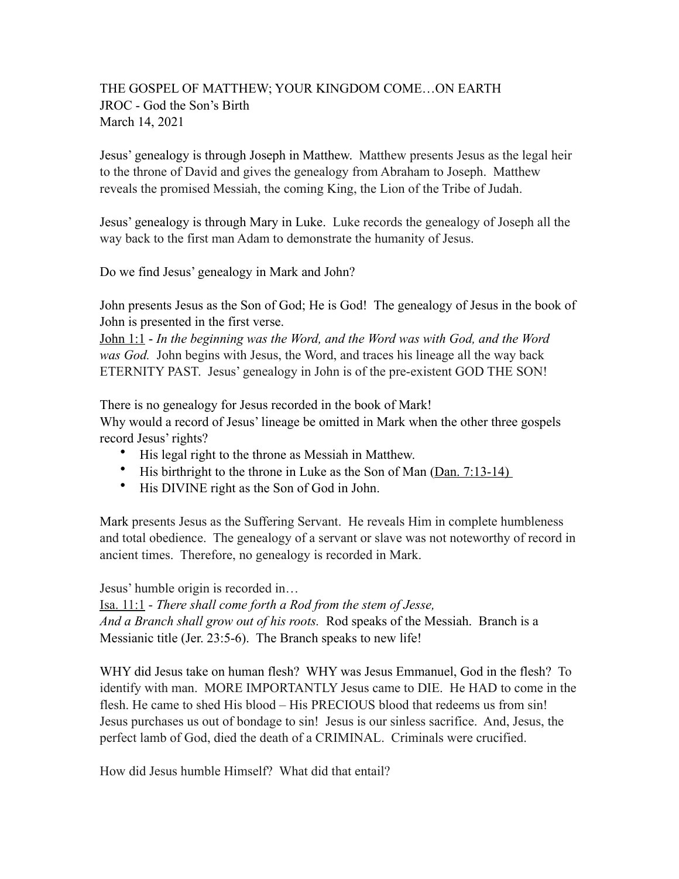## THE GOSPEL OF MATTHEW; YOUR KINGDOM COME…ON EARTH JROC - God the Son's Birth March 14, 2021

Jesus' genealogy is through Joseph in Matthew. Matthew presents Jesus as the legal heir to the throne of David and gives the genealogy from Abraham to Joseph. Matthew reveals the promised Messiah, the coming King, the Lion of the Tribe of Judah.

Jesus' genealogy is through Mary in Luke. Luke records the genealogy of Joseph all the way back to the first man Adam to demonstrate the humanity of Jesus.

Do we find Jesus' genealogy in Mark and John?

John presents Jesus as the Son of God; He is God! The genealogy of Jesus in the book of John is presented in the first verse.

John 1:1 - *In the beginning was the Word, and the Word was with God, and the Word was God.* John begins with Jesus, the Word, and traces his lineage all the way back ETERNITY PAST. Jesus' genealogy in John is of the pre-existent GOD THE SON!

There is no genealogy for Jesus recorded in the book of Mark!

Why would a record of Jesus' lineage be omitted in Mark when the other three gospels record Jesus' rights?

- His legal right to the throne as Messiah in Matthew.
- His birthright to the throne in Luke as the Son of Man (Dan. 7:13-14)
- His DIVINE right as the Son of God in John.

Mark presents Jesus as the Suffering Servant. He reveals Him in complete humbleness and total obedience. The genealogy of a servant or slave was not noteworthy of record in ancient times. Therefore, no genealogy is recorded in Mark.

Jesus' humble origin is recorded in…

Isa. 11:1 - *There shall come forth a Rod from the stem of Jesse, And a Branch shall grow out of his roots.* Rod speaks of the Messiah. Branch is a Messianic title (Jer. 23:5-6). The Branch speaks to new life!

WHY did Jesus take on human flesh? WHY was Jesus Emmanuel, God in the flesh? To identify with man. MORE IMPORTANTLY Jesus came to DIE. He HAD to come in the flesh. He came to shed His blood – His PRECIOUS blood that redeems us from sin! Jesus purchases us out of bondage to sin! Jesus is our sinless sacrifice. And, Jesus, the perfect lamb of God, died the death of a CRIMINAL. Criminals were crucified.

How did Jesus humble Himself? What did that entail?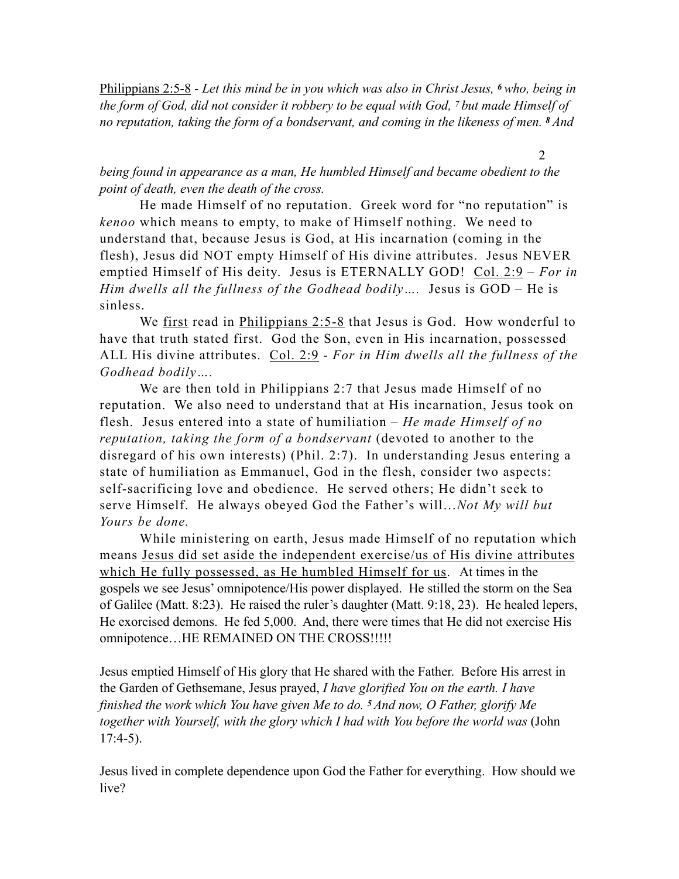Philippians 2:5-8 - *Let this mind be in you which was also in Christ Jesus, 6 who, being in the form of God, did not consider it robbery to be equal with God, 7 but made Himself of no reputation, taking the form of a bondservant, and coming in the likeness of men. 8 And* 

*being found in appearance as a man, He humbled Himself and became obedient to the point of death, even the death of the cross.* 

2

He made Himself of no reputation. Greek word for "no reputation" is *kenoo* which means to empty, to make of Himself nothing. We need to understand that, because Jesus is God, at His incarnation (coming in the flesh), Jesus did NOT empty Himself of His divine attributes. Jesus NEVER emptied Himself of His deity. Jesus is ETERNALLY GOD! Col. 2:9 – *For in Him dwells all the fullness of the Godhead bodily….* Jesus is GOD – He is sinless.

We first read in Philippians  $2:5-8$  that Jesus is God. How wonderful to have that truth stated first. God the Son, even in His incarnation, possessed ALL His divine attributes. Col. 2:9 - *For in Him dwells all the fullness of the Godhead bodily….* 

We are then told in Philippians 2:7 that Jesus made Himself of no reputation. We also need to understand that at His incarnation, Jesus took on flesh. Jesus entered into a state of humiliation – *He made Himself of no reputation, taking the form of a bondservant* (devoted to another to the disregard of his own interests) (Phil. 2:7). In understanding Jesus entering a state of humiliation as Emmanuel, God in the flesh, consider two aspects: self-sacrificing love and obedience. He served others; He didn't seek to serve Himself. He always obeyed God the Father's will…*Not My will but Yours be done.* 

While ministering on earth, Jesus made Himself of no reputation which means Jesus did set aside the independent exercise/us of His divine attributes which He fully possessed, as He humbled Himself for us. At times in the gospels we see Jesus' omnipotence/His power displayed. He stilled the storm on the Sea of Galilee (Matt. 8:23). He raised the ruler's daughter (Matt. 9:18, 23). He healed lepers, He exorcised demons. He fed 5,000. And, there were times that He did not exercise His omnipotence…HE REMAINED ON THE CROSS!!!!!

Jesus emptied Himself of His glory that He shared with the Father. Before His arrest in the Garden of Gethsemane, Jesus prayed, *I have glorified You on the earth. I have finished the work which You have given Me to do. 5 And now, O Father, glorify Me together with Yourself, with the glory which I had with You before the world was* (John  $17:4-5$ ).

Jesus lived in complete dependence upon God the Father for everything. How should we live?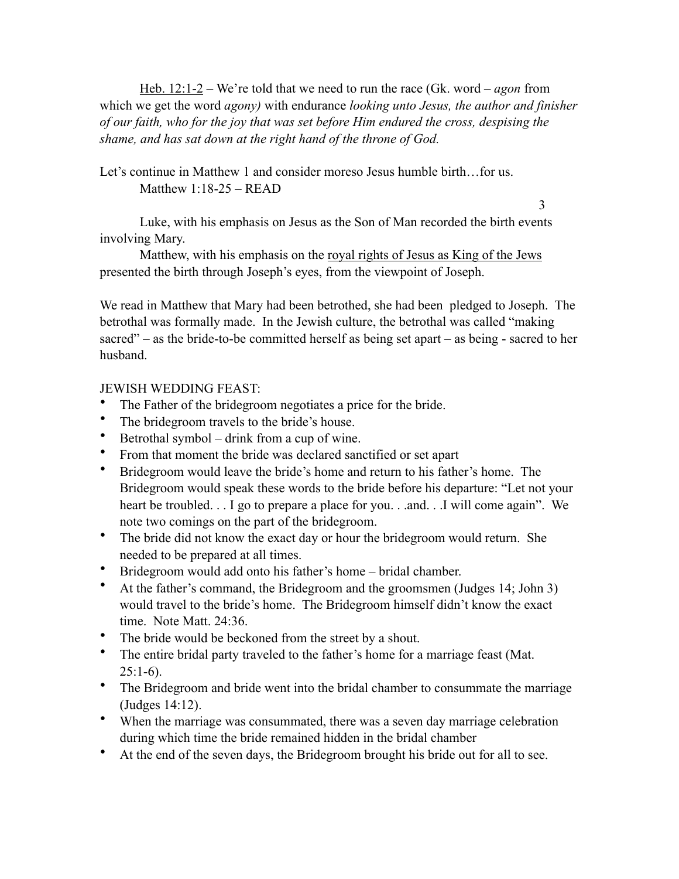Heb. 12:1-2 – We're told that we need to run the race (Gk. word – *agon* from which we get the word *agony)* with endurance *looking unto Jesus, the author and finisher of our faith, who for the joy that was set before Him endured the cross, despising the shame, and has sat down at the right hand of the throne of God.* 

Let's continue in Matthew 1 and consider moreso Jesus humble birth...for us. Matthew 1:18-25 – READ

3

Luke, with his emphasis on Jesus as the Son of Man recorded the birth events involving Mary.

Matthew, with his emphasis on the royal rights of Jesus as King of the Jews presented the birth through Joseph's eyes, from the viewpoint of Joseph.

We read in Matthew that Mary had been betrothed, she had been pledged to Joseph. The betrothal was formally made. In the Jewish culture, the betrothal was called "making sacred" – as the bride-to-be committed herself as being set apart – as being - sacred to her husband.

JEWISH WEDDING FEAST:

- The Father of the bridegroom negotiates a price for the bride.
- The bridegroom travels to the bride's house.
- Betrothal symbol drink from a cup of wine.
- From that moment the bride was declared sanctified or set apart
- Bridegroom would leave the bride's home and return to his father's home. The Bridegroom would speak these words to the bride before his departure: "Let not your heart be troubled. . . I go to prepare a place for you. . .and. . .I will come again". We note two comings on the part of the bridegroom.
- The bride did not know the exact day or hour the bridegroom would return. She needed to be prepared at all times.
- Bridegroom would add onto his father's home bridal chamber.
- At the father's command, the Bridegroom and the groomsmen (Judges 14; John 3) would travel to the bride's home. The Bridegroom himself didn't know the exact time. Note Matt. 24:36.
- The bride would be beckoned from the street by a shout.
- The entire bridal party traveled to the father's home for a marriage feast (Mat.  $25:1-6$ ).
- The Bridegroom and bride went into the bridal chamber to consummate the marriage (Judges 14:12).
- When the marriage was consummated, there was a seven day marriage celebration during which time the bride remained hidden in the bridal chamber
- At the end of the seven days, the Bridegroom brought his bride out for all to see.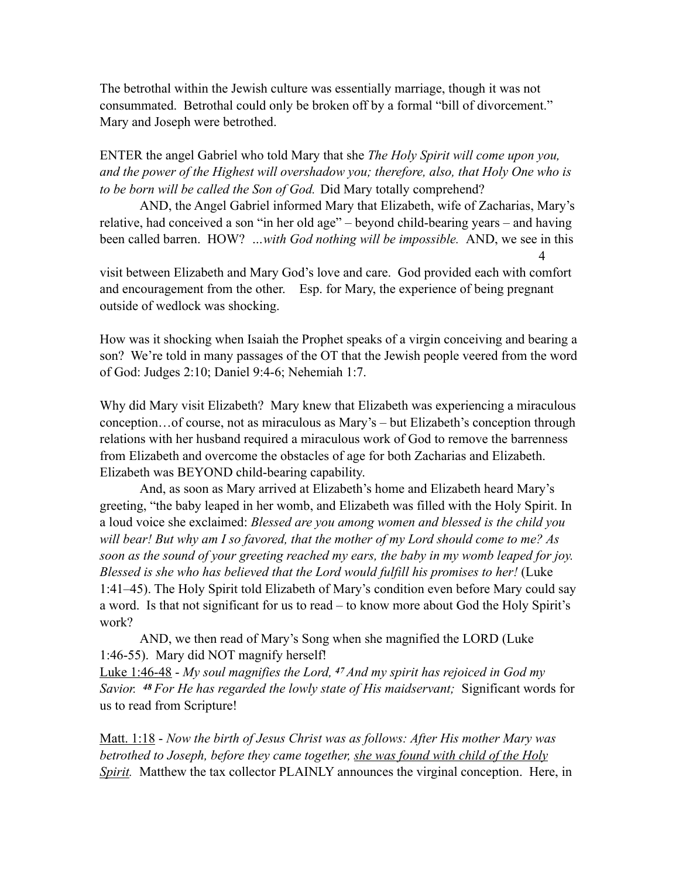The betrothal within the Jewish culture was essentially marriage, though it was not consummated. Betrothal could only be broken off by a formal "bill of divorcement." Mary and Joseph were betrothed.

ENTER the angel Gabriel who told Mary that she *The Holy Spirit will come upon you, and the power of the Highest will overshadow you; therefore, also, that Holy One who is to be born will be called the Son of God.* Did Mary totally comprehend?

AND, the Angel Gabriel informed Mary that Elizabeth, wife of Zacharias, Mary's relative, had conceived a son "in her old age" – beyond child-bearing years – and having been called barren. HOW? *…with God nothing will be impossible.* AND, we see in this 4

visit between Elizabeth and Mary God's love and care. God provided each with comfort and encouragement from the other. Esp. for Mary, the experience of being pregnant outside of wedlock was shocking.

How was it shocking when Isaiah the Prophet speaks of a virgin conceiving and bearing a son? We're told in many passages of the OT that the Jewish people veered from the word of God: Judges 2:10; Daniel 9:4-6; Nehemiah 1:7.

Why did Mary visit Elizabeth? Mary knew that Elizabeth was experiencing a miraculous conception…of course, not as miraculous as Mary's – but Elizabeth's conception through relations with her husband required a miraculous work of God to remove the barrenness from Elizabeth and overcome the obstacles of age for both Zacharias and Elizabeth. Elizabeth was BEYOND child-bearing capability.

And, as soon as Mary arrived at Elizabeth's home and Elizabeth heard Mary's greeting, "the baby leaped in her womb, and Elizabeth was filled with the Holy Spirit. In a loud voice she exclaimed: *Blessed are you among women and blessed is the child you will bear! But why am I so favored, that the mother of my Lord should come to me? As soon as the sound of your greeting reached my ears, the baby in my womb leaped for joy. Blessed is she who has believed that the Lord would fulfill his promises to her!* (Luke 1:41–45). The Holy Spirit told Elizabeth of Mary's condition even before Mary could say a word. Is that not significant for us to read – to know more about God the Holy Spirit's work?

AND, we then read of Mary's Song when she magnified the LORD (Luke 1:46-55). Mary did NOT magnify herself!

Luke 1:46-48 - *My soul magnifies the Lord, 47 And my spirit has rejoiced in God my Savior. 48 For He has regarded the lowly state of His maidservant;* Significant words for us to read from Scripture!

Matt. 1:18 - *Now the birth of Jesus Christ was as follows: After His mother Mary was betrothed to Joseph, before they came together, she was found with child of the Holy Spirit.* Matthew the tax collector PLAINLY announces the virginal conception. Here, in